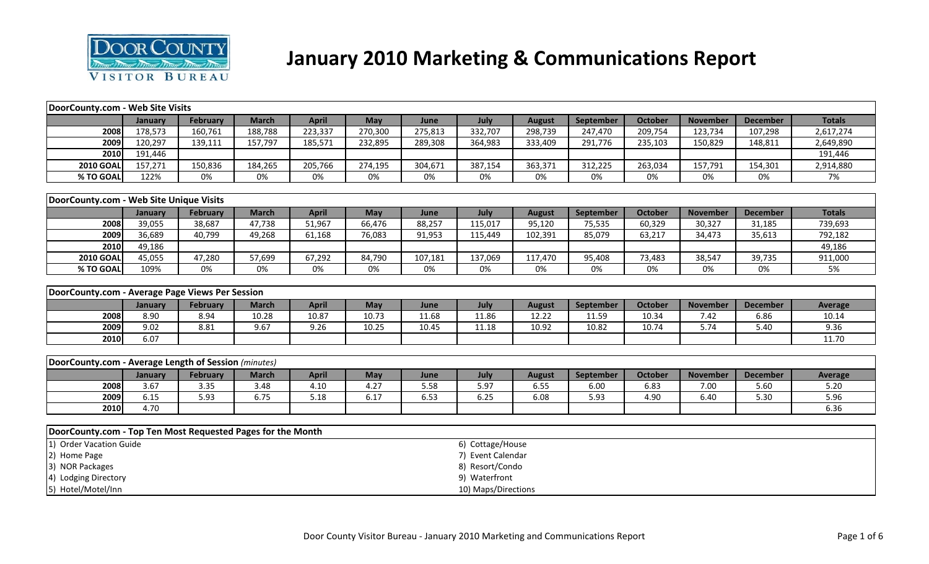

# **January 2010 Marketing & Communications Report**

| DoorCounty.com - Web Site Visits                            |         |                 |              |              |         |         |                     |               |           |                |                 |                 |               |
|-------------------------------------------------------------|---------|-----------------|--------------|--------------|---------|---------|---------------------|---------------|-----------|----------------|-----------------|-----------------|---------------|
|                                                             | January | <b>February</b> | <b>March</b> | <b>April</b> | May     | June    | July                | <b>August</b> | September | <b>October</b> | <b>November</b> | <b>December</b> | <b>Totals</b> |
| 2008                                                        | 178,573 | 160,761         | 188,788      | 223,337      | 270,300 | 275,813 | 332,707             | 298,739       | 247,470   | 209,754        | 123,734         | 107,298         | 2,617,274     |
| 2009                                                        | 120,297 | 139,111         | 157,797      | 185,571      | 232,895 | 289,308 | 364,983             | 333,409       | 291,776   | 235,103        | 150,829         | 148,811         | 2,649,890     |
| 2010                                                        | 191,446 |                 |              |              |         |         |                     |               |           |                |                 |                 | 191,446       |
| <b>2010 GOAL</b>                                            | 157,271 | 150,836         | 184,265      | 205,766      | 274,195 | 304,671 | 387,154             | 363,371       | 312,225   | 263,034        | 157,791         | 154,301         | 2,914,880     |
| % TO GOAL                                                   | 122%    | 0%              | $0\%$        | 0%           | 0%      | 0%      | 0%                  | 0%            | 0%        | 0%             | 0%              | 0%              | 7%            |
|                                                             |         |                 |              |              |         |         |                     |               |           |                |                 |                 |               |
| DoorCounty.com - Web Site Unique Visits                     |         |                 |              |              |         |         |                     |               |           |                |                 |                 |               |
|                                                             | January | February        | <b>March</b> | <b>April</b> | May     | June    | July                | <b>August</b> | September | <b>October</b> | <b>November</b> | <b>December</b> | <b>Totals</b> |
| 2008                                                        | 39,055  | 38,687          | 47,738       | 51,967       | 66,476  | 88,257  | 115,017             | 95,120        | 75,535    | 60,329         | 30,327          | 31,185          | 739,693       |
| 2009                                                        | 36,689  | 40,799          | 49,268       | 61,168       | 76,083  | 91,953  | 115,449             | 102,391       | 85,079    | 63,217         | 34,473          | 35,613          | 792,182       |
| 2010                                                        | 49,186  |                 |              |              |         |         |                     |               |           |                |                 |                 | 49,186        |
| <b>2010 GOAL</b>                                            | 45,055  | 47,280          | 57,699       | 67,292       | 84,790  | 107,181 | 137,069             | 117,470       | 95,408    | 73,483         | 38,547          | 39,735          | 911,000       |
| % TO GOAL                                                   | 109%    | 0%              | 0%           | 0%           | 0%      | 0%      | 0%                  | 0%            | 0%        | 0%             | 0%              | 0%              | 5%            |
|                                                             |         |                 |              |              |         |         |                     |               |           |                |                 |                 |               |
| DoorCounty.com - Average Page Views Per Session             |         |                 |              |              |         |         |                     |               |           |                |                 |                 |               |
|                                                             | January | February        | <b>March</b> | <b>April</b> | May     | June    | July                | <b>August</b> | September | October        | <b>November</b> | <b>December</b> | Average       |
| 2008                                                        | 8.90    | 8.94            | 10.28        | 10.87        | 10.73   | 11.68   | 11.86               | 12.22         | 11.59     | 10.34          | 7.42            | 6.86            | 10.14         |
| 2009                                                        | 9.02    | 8.81            | 9.67         | 9.26         | 10.25   | 10.45   | 11.18               | 10.92         | 10.82     | 10.74          | 5.74            | 5.40            | 9.36          |
| 2010                                                        | 6.07    |                 |              |              |         |         |                     |               |           |                |                 |                 | 11.70         |
|                                                             |         |                 |              |              |         |         |                     |               |           |                |                 |                 |               |
| DoorCounty.com - Average Length of Session (minutes)        |         |                 |              |              |         |         |                     |               |           |                |                 |                 |               |
|                                                             | January | <b>February</b> | <b>March</b> | <b>April</b> | May     | June    | July                | <b>August</b> | September | October        | <b>November</b> | <b>December</b> | Average       |
| 2008                                                        | 3.67    | 3.35            | 3.48         | 4.10         | 4.27    | 5.58    | 5.97                | 6.55          | 6.00      | 6.83           | 7.00            | 5.60            | 5.20          |
| 2009                                                        | 6.15    | 5.93            | 6.75         | 5.18         | 6.17    | 6.53    | 6.25                | 6.08          | 5.93      | 4.90           | 6.40            | 5.30            | 5.96          |
| 2010                                                        | 4.70    |                 |              |              |         |         |                     |               |           |                |                 |                 | 6.36          |
|                                                             |         |                 |              |              |         |         |                     |               |           |                |                 |                 |               |
| DoorCounty.com - Top Ten Most Requested Pages for the Month |         |                 |              |              |         |         |                     |               |           |                |                 |                 |               |
| 1) Order Vacation Guide                                     |         |                 |              |              |         |         | 6) Cottage/House    |               |           |                |                 |                 |               |
| 2) Home Page                                                |         |                 |              |              |         |         | 7) Event Calendar   |               |           |                |                 |                 |               |
| 3) NOR Packages                                             |         |                 |              |              |         |         | 8) Resort/Condo     |               |           |                |                 |                 |               |
| 4) Lodging Directory                                        |         |                 |              |              |         |         | 9) Waterfront       |               |           |                |                 |                 |               |
| 5) Hotel/Motel/Inn                                          |         |                 |              |              |         |         | 10) Maps/Directions |               |           |                |                 |                 |               |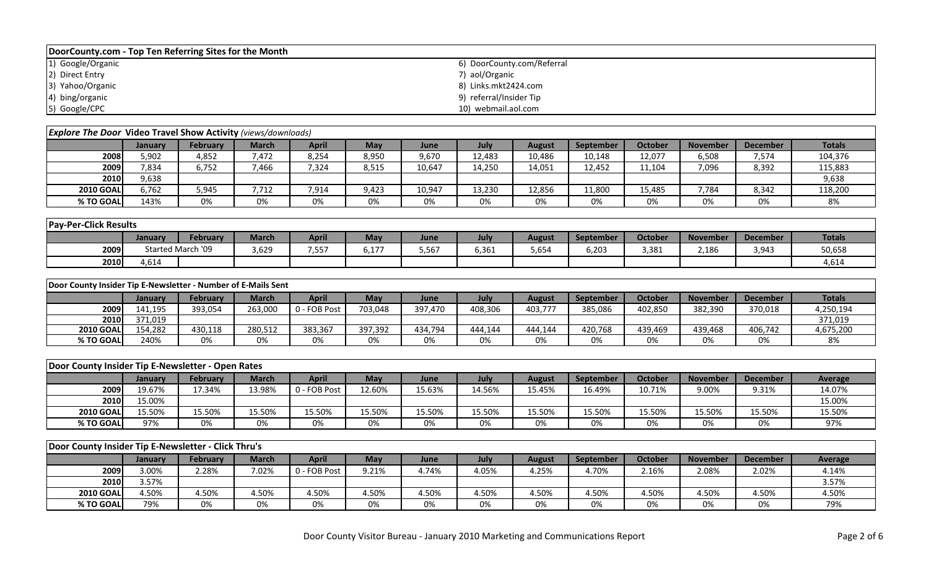| DoorCounty.com - Top Ten Referring Sites for the Month |                            |  |  |  |  |  |  |  |  |  |  |
|--------------------------------------------------------|----------------------------|--|--|--|--|--|--|--|--|--|--|
| 1) Google/Organic                                      | 6) DoorCounty.com/Referral |  |  |  |  |  |  |  |  |  |  |
| 2) Direct Entry                                        | 7) aol/Organic             |  |  |  |  |  |  |  |  |  |  |
| 3) Yahoo/Organic                                       | 8) Links.mkt2424.com       |  |  |  |  |  |  |  |  |  |  |
| 4) bing/organic                                        | 9) referral/Insider Tip    |  |  |  |  |  |  |  |  |  |  |
| 5) Google/CPC                                          | 10) webmail.aol.com        |  |  |  |  |  |  |  |  |  |  |

| <b>Explore The Door Video Travel Show Activity (views/downloads)</b> |                |                 |              |              |       |        |        |        |                  |         |                 |                 |               |
|----------------------------------------------------------------------|----------------|-----------------|--------------|--------------|-------|--------|--------|--------|------------------|---------|-----------------|-----------------|---------------|
|                                                                      | <b>January</b> | <b>February</b> | <b>March</b> | <b>April</b> | May   | June   | July   | August | <b>September</b> | October | <b>November</b> | <b>December</b> | <b>Totals</b> |
| 2008                                                                 | 5,902          | 4,852           | 7,472        | 8,254        | 8,950 | 9,670  | 12,483 | 10,486 | 10,148           | 12,077  | 6,508           | 7,574           | 104,376       |
| 2009                                                                 | 7,834          | 6,752           | 1.466        | 7,324        | 8,515 | 10,647 | 14,250 | 14,051 | 12,452           | 11,104  | 7,096           | 8,392           | 115,883       |
| 2010                                                                 | 9,638          |                 |              |              |       |        |        |        |                  |         |                 |                 | 9,638         |
| <b>2010 GOAL</b>                                                     | 6,762          | 5,945           | 7.712        | 7,914        | 9,423 | 10,947 | 13,230 | 12,856 | 11,800           | 15,485  | 7,784           | 8,342           | 118,200       |
| % TO GOAL                                                            | 143%           | 0%              | 0%           | 0%           | 0%    | 0%     | 0%     | 0%     | 0%               | 0%      | 0%              | 0%              | 8%            |

| <b>Pay-Per-Click Results</b> |         |                   |              |              |               |       |       |               |                  |         |                 |          |               |
|------------------------------|---------|-------------------|--------------|--------------|---------------|-------|-------|---------------|------------------|---------|-----------------|----------|---------------|
|                              | January | <b>February</b>   | <b>March</b> | <b>April</b> | May           | June  | July  | <b>August</b> | <b>September</b> | October | <b>November</b> | December | <b>Totals</b> |
| 2009                         |         | Started March '09 | 3,629        | 7,557        | 177<br>0, L / | 5,567 | 6,361 | 5,654         | 6,203            | 3,381   | 2,186           | 3,943    | 50,658        |
| 2010                         | 4,614   |                   |              |              |               |       |       |               |                  |         |                 |          | 4,614         |

|                  | Door County Insider Tip E-Newsletter - Number of E-Mails Sent |                 |         |          |         |         |         |         |                  |                |                 |                 |               |
|------------------|---------------------------------------------------------------|-----------------|---------|----------|---------|---------|---------|---------|------------------|----------------|-----------------|-----------------|---------------|
|                  | January                                                       | <b>February</b> | March   | April    | Mav     | June    | July    | August  | <b>September</b> | <b>October</b> | <b>November</b> | <b>December</b> | <b>Totals</b> |
| 2009 l           | 141,195                                                       | 393,054         | 263,000 | FOB Post | 703,048 | 397,470 | 408,306 | 403,777 | 385,086          | 402,850        | 382,390         | 370,018         | 4,250,194     |
| <b>2010</b>      | 371.019                                                       |                 |         |          |         |         |         |         |                  |                |                 |                 | 371,019       |
| <b>2010 GOAL</b> | 154,282                                                       | 430,118         | 280.512 | 383,367  | 397,392 | 434,794 | 444,144 | 444.144 | 420,768          | 439,469        | 439,468         | 406,742         | 4,675,200     |
| % TO GOAL        | 240%                                                          | 0%              | 0%      | 0%       | 0%      | 0%      | 0%      | 0%      | 0%               | 0%             | 0%              | 0%              | 8%            |

| Door County Insider Tip E-Newsletter - Open Rates |         |                 |        |              |        |        |        |        |                  |         |                 |                 |         |
|---------------------------------------------------|---------|-----------------|--------|--------------|--------|--------|--------|--------|------------------|---------|-----------------|-----------------|---------|
|                                                   | Januarv | <b>February</b> | March  | April        | May    | June   | July   | August | <b>September</b> | October | <b>November</b> | <b>December</b> | Average |
| 2009                                              | 19.67%  | 17.34%          | 13.98% | 0 - FOB Post | 12.60% | 15.63% | .4.56% | 15.45% | 16.49%           | 10.71%  | 9.00%           | 9.31%           | 14.07%  |
| 2010                                              | 15.00%  |                 |        |              |        |        |        |        |                  |         |                 |                 | 15.00%  |
| <b>2010 GOAL</b>                                  | 15.50%  | L5.50%          | 5.50%  | 15.50%       | 15.50% | 15.50% | 15.50% | L5.50% | 15.50%           | 15.50%  | 15.50%          | 15.50%          | 15.50%  |
| % TO GOAL                                         | 97%     | 0%              | 0%     | 0%           | 0%     | 0%     | 0%     | 0%     | 0%               | 0%      | 0%              | 0%              | 97%     |

|                  | Door County Insider Tip E-Newsletter - Click Thru's |                 |       |              |       |       |       |               |           |         |                 |                 |         |
|------------------|-----------------------------------------------------|-----------------|-------|--------------|-------|-------|-------|---------------|-----------|---------|-----------------|-----------------|---------|
|                  | January                                             | <b>February</b> | March | April        | May   | June  | July  | <b>August</b> | September | October | <b>November</b> | <b>December</b> | Average |
| 2009             | 3.00%                                               | 2.28%           | 7.02% | 0 - FOB Post | 9.21% | 4.74% | 4.05% | 4.25%         | 4.70%     | 2.16%   | 2.08%           | 2.02%           | 4.14%   |
| 2010             | 3.57%                                               |                 |       |              |       |       |       |               |           |         |                 |                 | 3.57%   |
| <b>2010 GOAL</b> | 4.50%                                               | 4.50%           | 4.50% | 4.50%        | 4.50% | 4.50% | 4.50% | 4.50%         | 4.50%     | 4.50%   | 4.50%           | 4.50%           | 4.50%   |
| % TO GOAL        | 79%                                                 | 0%              | 0%    | 0%           | 0%    | 0%    | 0%    | 0%            | 0%        | 0%      | 0%              | 0%              | 79%     |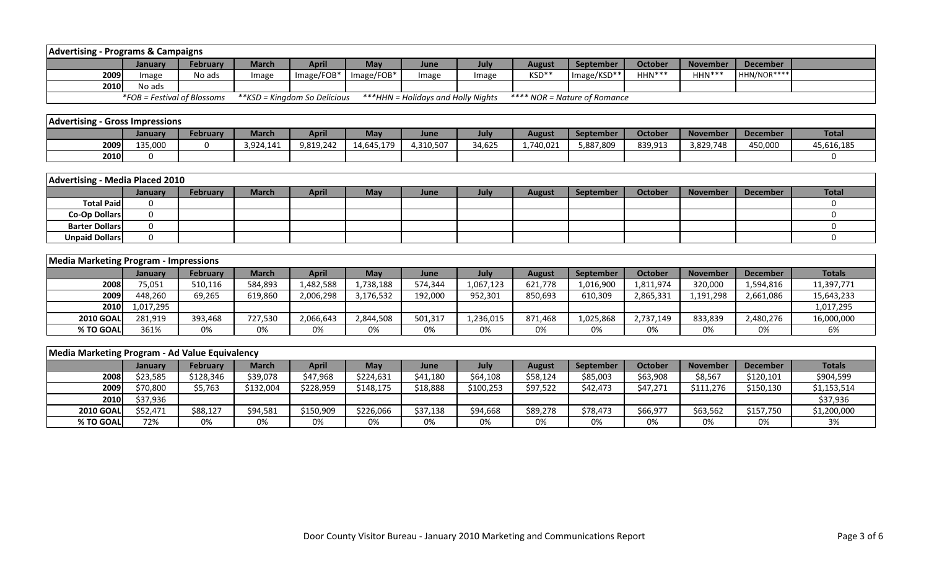| <b>Advertising - Programs &amp; Campaigns</b>  |                             |                 |              |                              |            |                                     |           |               |                              |                |                 |                 |               |
|------------------------------------------------|-----------------------------|-----------------|--------------|------------------------------|------------|-------------------------------------|-----------|---------------|------------------------------|----------------|-----------------|-----------------|---------------|
|                                                | January                     | <b>February</b> | <b>March</b> | <b>April</b>                 | May        | June                                | July      | <b>August</b> | September                    | <b>October</b> | <b>November</b> | <b>December</b> |               |
| 2009                                           | Image                       | No ads          | Image        | Image/FOB*                   | Image/FOB* | Image                               | Image     | KSD**         | Image/KSD**                  | HHN***         | $HHN***$        | HHN/NOR****     |               |
| 2010                                           | No ads                      |                 |              |                              |            |                                     |           |               |                              |                |                 |                 |               |
|                                                | *FOB = Festival of Blossoms |                 |              | **KSD = Kingdom So Delicious |            | *** HHN = Holidays and Holly Nights |           |               | **** NOR = Nature of Romance |                |                 |                 |               |
|                                                |                             |                 |              |                              |            |                                     |           |               |                              |                |                 |                 |               |
| <b>Advertising - Gross Impressions</b>         |                             |                 |              |                              |            |                                     |           |               |                              |                |                 |                 |               |
|                                                | January                     | <b>February</b> | <b>March</b> | <b>April</b>                 | <b>May</b> | June                                | July      | <b>August</b> | September                    | <b>October</b> | <b>November</b> | <b>December</b> | <b>Total</b>  |
| 2009                                           | 135,000                     | $\mathbf{0}$    | 3,924,141    | 9,819,242                    | 14,645,179 | 4,310,507                           | 34,625    | 1,740,021     | 5,887,809                    | 839,913        | 3,829,748       | 450,000         | 45,616,185    |
| 2010                                           | 0                           |                 |              |                              |            |                                     |           |               |                              |                |                 |                 | 0             |
|                                                |                             |                 |              |                              |            |                                     |           |               |                              |                |                 |                 |               |
| <b>Advertising - Media Placed 2010</b>         |                             |                 |              |                              |            |                                     |           |               |                              |                |                 |                 |               |
|                                                | January                     | <b>February</b> | <b>March</b> | <b>April</b>                 | <b>May</b> | June                                | July      | <b>August</b> | <b>September</b>             | <b>October</b> | <b>November</b> | <b>December</b> | <b>Total</b>  |
| <b>Total Paid</b>                              | $\mathbf 0$                 |                 |              |                              |            |                                     |           |               |                              |                |                 |                 | $\mathbf 0$   |
| <b>Co-Op Dollars</b>                           | $\Omega$                    |                 |              |                              |            |                                     |           |               |                              |                |                 |                 | $\Omega$      |
| <b>Barter Dollars</b>                          | 0                           |                 |              |                              |            |                                     |           |               |                              |                |                 |                 | $\mathbf 0$   |
| <b>Unpaid Dollars</b>                          | $\mathbf 0$                 |                 |              |                              |            |                                     |           |               |                              |                |                 |                 | $\mathbf 0$   |
|                                                |                             |                 |              |                              |            |                                     |           |               |                              |                |                 |                 |               |
| <b>Media Marketing Program - Impressions</b>   |                             |                 |              |                              |            |                                     |           |               |                              |                |                 |                 |               |
|                                                | January                     | <b>February</b> | <b>March</b> | <b>April</b>                 | May        | June                                | July      | <b>August</b> | September                    | <b>October</b> | <b>November</b> | <b>December</b> | <b>Totals</b> |
| 2008                                           | 75,051                      | 510,116         | 584,893      | 1,482,588                    | 1,738,188  | 574,344                             | 1,067,123 | 621,778       | 1,016,900                    | 1,811,974      | 320,000         | 1,594,816       | 11,397,771    |
| 2009                                           | 448,260                     | 69,265          | 619,860      | 2,006,298                    | 3,176,532  | 192,000                             | 952,301   | 850,693       | 610,309                      | 2,865,331      | 1,191,298       | 2,661,086       | 15,643,233    |
| 2010                                           | 1,017,295                   |                 |              |                              |            |                                     |           |               |                              |                |                 |                 | 1,017,295     |
| <b>2010 GOAL</b>                               | 281,919                     | 393,468         | 727,530      | 2,066,643                    | 2,844,508  | 501,317                             | 1,236,015 | 871,468       | 1,025,868                    | 2,737,149      | 833,839         | 2,480,276       | 16,000,000    |
| % TO GOAL                                      | 361%                        | 0%              | 0%           | 0%                           | 0%         | 0%                                  | 0%        | 0%            | 0%                           | 0%             | 0%              | 0%              | 6%            |
|                                                |                             |                 |              |                              |            |                                     |           |               |                              |                |                 |                 |               |
| Media Marketing Program - Ad Value Equivalency |                             |                 |              |                              |            |                                     |           |               |                              |                |                 |                 |               |
|                                                | January                     | <b>February</b> | <b>March</b> | <b>April</b>                 | May        | June                                | July      | <b>August</b> | September                    | <b>October</b> | <b>November</b> | <b>December</b> | <b>Totals</b> |
| 2008                                           | \$23,585                    | \$128,346       | \$39,078     | \$47,968                     | \$224,631  | \$41,180                            | \$64,108  | \$58,124      | \$85,003                     | \$63,908       | \$8,567         | \$120,101       | \$904,599     |
| 2009                                           | \$70,800                    | \$5,763         | \$132,004    | \$228,959                    | \$148,175  | \$18,888                            | \$100,253 | \$97,522      | \$42,473                     | \$47,271       | \$111,276       | \$150,130       | \$1,153,514   |
| 2010                                           | \$37,936                    |                 |              |                              |            |                                     |           |               |                              |                |                 |                 | \$37,936      |
| <b>2010 GOAL</b>                               | \$52,471                    | \$88,127        | \$94,581     | \$150,909                    | \$226,066  | \$37,138                            | \$94,668  | \$89,278      | \$78,473                     | \$66,977       | \$63,562        | \$157,750       | \$1,200,000   |
| % TO GOAL                                      | 72%                         | 0%              | 0%           | 0%                           | 0%         | 0%                                  | 0%        | 0%            | 0%                           | 0%             | 0%              | 0%              | 3%            |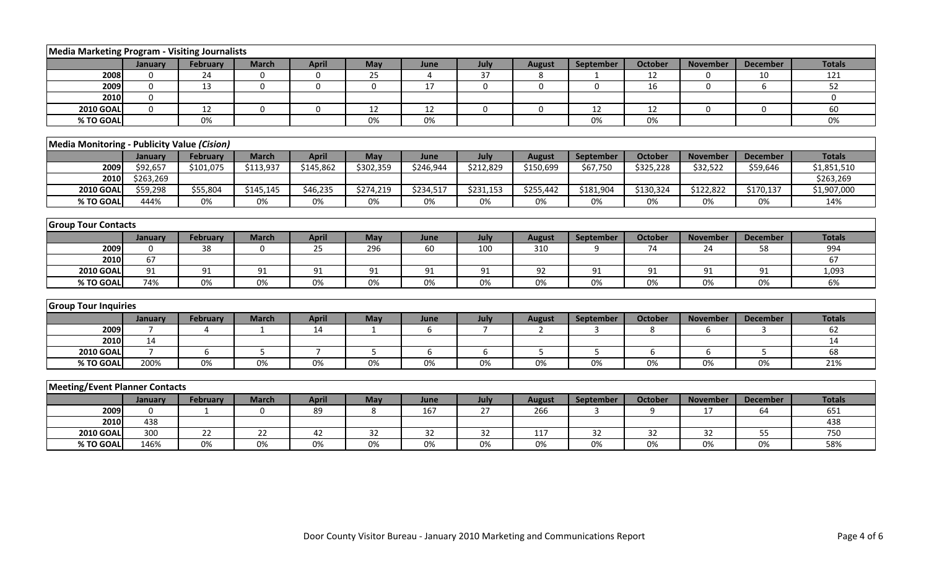| <b>Media Marketing Program - Visiting Journalists</b> |                |                       |              |                |              |                |                 |               |                  |                |                 |                 |               |
|-------------------------------------------------------|----------------|-----------------------|--------------|----------------|--------------|----------------|-----------------|---------------|------------------|----------------|-----------------|-----------------|---------------|
|                                                       | January        | <b>February</b>       | <b>March</b> | <b>April</b>   | May          | June           | July            | <b>August</b> | September        | October        | <b>November</b> | <b>December</b> | <b>Totals</b> |
| 2008                                                  | 0              | 24                    | $\mathbf 0$  | $\mathbf 0$    | 25           | $\overline{4}$ | 37              | 8             |                  | 12             | 0               | 10              | 121           |
| 2009                                                  | $\mathbf 0$    | 13                    | $\mathbf 0$  | $\mathbf 0$    | $\mathbf 0$  | 17             | $\mathbf 0$     | $\mathbf 0$   | $\mathbf 0$      | 16             | $\mathbf 0$     | 6               | 52            |
| 2010                                                  | $\mathbf 0$    |                       |              |                |              |                |                 |               |                  |                |                 |                 | $\mathbf 0$   |
| <b>2010 GOAL</b>                                      | $\mathbf 0$    | 12                    | $\mathbf 0$  | $\mathbf 0$    | 12           | 12             | $\mathbf 0$     | $\mathbf 0$   | 12               | 12             | $\mathbf 0$     | $\mathbf 0$     | 60            |
| % TO GOAL                                             |                | 0%                    |              |                | $0\%$        | 0%             |                 |               | 0%               | 0%             |                 |                 | 0%            |
|                                                       |                |                       |              |                |              |                |                 |               |                  |                |                 |                 |               |
| Media Monitoring - Publicity Value (Cision)           |                |                       |              |                |              |                |                 |               |                  |                |                 |                 |               |
|                                                       | January        | <b>February</b>       | <b>March</b> | <b>April</b>   | May          | June           | July            | <b>August</b> | September        | <b>October</b> | <b>November</b> | <b>December</b> | <b>Totals</b> |
| 2009                                                  | \$92,657       | \$101,075             | \$113,937    | \$145,862      | \$302,359    | \$246,944      | \$212,829       | \$150,699     | \$67,750         | \$325,228      | \$32,522        | \$59,646        | \$1,851,510   |
| 2010                                                  | \$263,269      |                       |              |                |              |                |                 |               |                  |                |                 |                 | \$263,269     |
| <b>2010 GOAL</b>                                      | \$59,298       | \$55,804              | \$145,145    | \$46,235       | \$274,219    | \$234,517      | \$231,153       | \$255,442     | \$181,904        | \$130,324      | \$122,822       | \$170,137       | \$1,907,000   |
| % TO GOAL                                             | 444%           | 0%                    | 0%           | 0%             | 0%           | 0%             | 0%              | 0%            | 0%               | 0%             | 0%              | 0%              | 14%           |
|                                                       |                |                       |              |                |              |                |                 |               |                  |                |                 |                 |               |
| <b>Group Tour Contacts</b>                            |                |                       |              |                |              |                |                 |               |                  |                |                 |                 |               |
|                                                       | January        | <b>February</b>       | <b>March</b> | <b>April</b>   | May          | June           | July            | <b>August</b> | <b>September</b> | <b>October</b> | <b>November</b> | <b>December</b> | <b>Totals</b> |
| 2009                                                  | $\Omega$       | 38                    | $\mathbf 0$  | 25             | 296          | 60             | 100             | 310           | 9                | 74             | 24              | 58              | 994           |
| 2010                                                  | 67             |                       |              |                |              |                |                 |               |                  |                |                 |                 | 67            |
| <b>2010 GOAL</b>                                      | 91             | 91                    | 91           | 91             | 91           | 91             | 91              | 92            | 91               | 91             | 91              | 91              | 1,093         |
| % TO GOAL                                             | 74%            | $0\%$                 | $0\%$        | $0\%$          | $0\%$        | 0%             | $0\%$           | 0%            | $0\%$            | 0%             | 0%              | 0%              | 6%            |
|                                                       |                |                       |              |                |              |                |                 |               |                  |                |                 |                 |               |
| <b>Group Tour Inquiries</b>                           |                |                       |              |                |              |                |                 |               |                  |                |                 |                 |               |
|                                                       | January        | <b>February</b>       | <b>March</b> | <b>April</b>   | May          | June           | July            | <b>August</b> | September        | <b>October</b> | <b>November</b> | <b>December</b> | <b>Totals</b> |
| 2009                                                  | $\overline{7}$ | $\boldsymbol{\Delta}$ | $\mathbf{1}$ | 14             | $\mathbf{1}$ | 6              | $\overline{7}$  | 2             | 3                | 8              | 6               | 3               | 62            |
| 2010                                                  | 14             |                       |              |                |              |                |                 |               |                  |                |                 |                 | 14            |
| <b>2010 GOAL</b>                                      | $\overline{7}$ | 6                     | 5            | $\overline{7}$ | 5            | 6              | 6               | 5             | 5                | 6              | 6               | 5               | 68            |
| % TO GOAL                                             | 200%           | 0%                    | $0\%$        | 0%             | $0\%$        | 0%             | $0\%$           | 0%            | 0%               | 0%             | 0%              | 0%              | 21%           |
|                                                       |                |                       |              |                |              |                |                 |               |                  |                |                 |                 |               |
| <b>Meeting/Event Planner Contacts</b>                 |                |                       |              |                |              |                |                 |               |                  |                |                 |                 |               |
|                                                       | January        | February              | <b>March</b> | <b>April</b>   | May          | June           | July            | <b>August</b> | <b>September</b> | <b>October</b> | <b>November</b> | <b>December</b> | <b>Totals</b> |
| 2009                                                  | $\mathbf{0}$   | 1                     | 0            | 89             | 8            | 167            | $\overline{27}$ | 266           | 3                | 9              | 17              | 64              | 651           |
| 2010                                                  | 438            |                       |              |                |              |                |                 |               |                  |                |                 |                 | 438           |
| <b>2010 GOAL</b>                                      | 300            | 22                    | 22           | 42             | 32           | 32             | 32              | 117           | 32               | 32             | 32              | 55              | 750           |
| % TO GOAL                                             | 146%           | $0\%$                 | $0\%$        | 0%             | $0\%$        | $0\%$          | $0\%$           | 0%            | $0\%$            | $0\%$          | $0\%$           | $0\%$           | 58%           |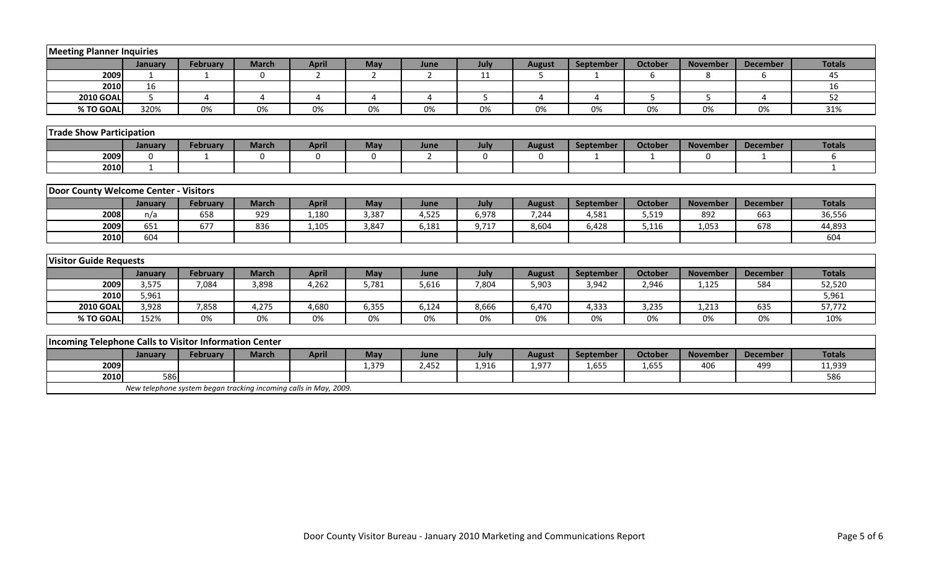| <b>Meeting Planner Inquiries</b>                       |              |                                                                  |                |                       |                       |                |             |                        |                  |                |                 |                 |               |
|--------------------------------------------------------|--------------|------------------------------------------------------------------|----------------|-----------------------|-----------------------|----------------|-------------|------------------------|------------------|----------------|-----------------|-----------------|---------------|
|                                                        | January      | <b>February</b>                                                  | <b>March</b>   | <b>April</b>          | May                   | June           | July        | <b>August</b>          | September        | <b>October</b> | <b>November</b> | <b>December</b> | <b>Totals</b> |
| 2009                                                   |              |                                                                  | $\mathbf 0$    | 2                     | $\overline{2}$        | $\overline{2}$ | 11          | 5                      |                  | 6              | 8               | 6               | 45            |
| 2010                                                   | 16           |                                                                  |                |                       |                       |                |             |                        |                  |                |                 |                 | 16            |
| <b>2010 GOAL</b>                                       | 5            | $\boldsymbol{\Delta}$                                            | $\overline{a}$ | $\boldsymbol{\Delta}$ | $\boldsymbol{\Delta}$ | $\Delta$       | 5           | $\boldsymbol{\Lambda}$ | $\overline{a}$   | 5              | 5               | 4               | 52            |
| % TO GOAL                                              | 320%         | 0%                                                               | 0%             | 0%                    | 0%                    | 0%             | 0%          | 0%                     | 0%               | 0%             | 0%              | 0%              | 31%           |
|                                                        |              |                                                                  |                |                       |                       |                |             |                        |                  |                |                 |                 |               |
| <b>Trade Show Participation</b>                        |              |                                                                  |                |                       |                       |                |             |                        |                  |                |                 |                 |               |
|                                                        | January      | <b>February</b>                                                  | <b>March</b>   | <b>April</b>          | May                   | June           | July        | <b>August</b>          | September        | October        | <b>November</b> | <b>December</b> | <b>Totals</b> |
| 2009                                                   | 0            | -1                                                               | 0              | $\mathbf 0$           | $\boldsymbol{0}$      | $\overline{2}$ | $\mathbf 0$ | $\mathbf 0$            | $\mathbf{1}$     | 1              | $\mathbf{0}$    | -1              | 6             |
| 2010                                                   | $\mathbf{1}$ |                                                                  |                |                       |                       |                |             |                        |                  |                |                 |                 | $\mathbf{1}$  |
|                                                        |              |                                                                  |                |                       |                       |                |             |                        |                  |                |                 |                 |               |
| Door County Welcome Center - Visitors                  |              |                                                                  |                |                       |                       |                |             |                        |                  |                |                 |                 |               |
|                                                        | January      | <b>February</b>                                                  | <b>March</b>   | <b>April</b>          | May                   | June           | July        | <b>August</b>          | <b>September</b> | October        | <b>November</b> | <b>December</b> | <b>Totals</b> |
| 2008                                                   | n/a          | 658                                                              | 929            | 1,180                 | 3,387                 | 4,525          | 6,978       | 7,244                  | 4,581            | 5,519          | 892             | 663             | 36,556        |
| 2009                                                   | 651          | 677                                                              | 836            | 1,105                 | 3,847                 | 6,181          | 9,717       | 8,604                  | 6,428            | 5,116          | 1,053           | 678             | 44,893        |
| 2010                                                   | 604          |                                                                  |                |                       |                       |                |             |                        |                  |                |                 |                 | 604           |
|                                                        |              |                                                                  |                |                       |                       |                |             |                        |                  |                |                 |                 |               |
| <b>Visitor Guide Requests</b>                          |              |                                                                  |                |                       |                       |                |             |                        |                  |                |                 |                 |               |
|                                                        | January      | <b>February</b>                                                  | <b>March</b>   | <b>April</b>          | May                   | June           | July        | <b>August</b>          | September        | October        | <b>November</b> | <b>December</b> | <b>Totals</b> |
| 2009                                                   | 3,575        | 7,084                                                            | 3,898          | 4,262                 | 5,781                 | 5,616          | 7,804       | 5,903                  | 3,942            | 2,946          | 1,125           | 584             | 52,520        |
| 2010                                                   | 5,961        |                                                                  |                |                       |                       |                |             |                        |                  |                |                 |                 | 5,961         |
| <b>2010 GOAL</b>                                       | 3,928        | 7,858                                                            | 4,275          | 4,680                 | 6,355                 | 6,124          | 8,666       | 6,470                  | 4,333            | 3,235          | 1,213           | 635             | 57,772        |
| % TO GOAL                                              | 152%         | 0%                                                               | 0%             | 0%                    | 0%                    | 0%             | 0%          | 0%                     | 0%               | 0%             | 0%              | 0%              | 10%           |
|                                                        |              |                                                                  |                |                       |                       |                |             |                        |                  |                |                 |                 |               |
| Incoming Telephone Calls to Visitor Information Center |              |                                                                  |                |                       |                       |                |             |                        |                  |                |                 |                 |               |
|                                                        | January      | <b>February</b>                                                  | <b>March</b>   | <b>April</b>          | May                   | June           | July        | <b>August</b>          | September        | <b>October</b> | <b>November</b> | <b>December</b> | <b>Totals</b> |
| 2009                                                   |              |                                                                  |                |                       | 1,379                 | 2,452          | 1,916       | 1,977                  | 1,655            | 1,655          | 406             | 499             | 11,939        |
| 2010                                                   | 586          |                                                                  |                |                       |                       |                |             |                        |                  |                |                 |                 | 586           |
|                                                        |              | New telephone system began tracking incoming calls in May, 2009. |                |                       |                       |                |             |                        |                  |                |                 |                 |               |